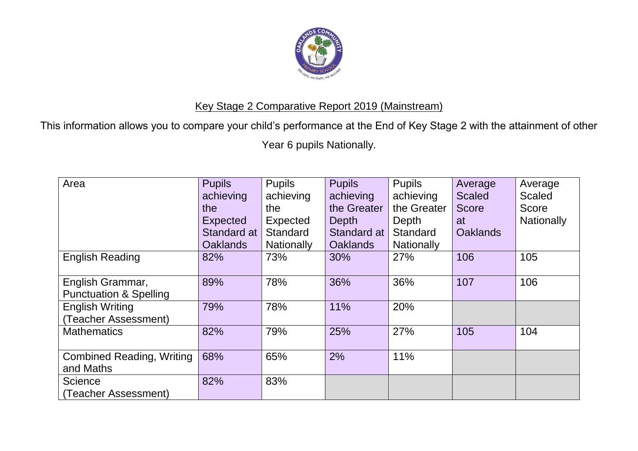

## Key Stage 2 Comparative Report 2019 (Mainstream)

This information allows you to compare your child's performance at the End of Key Stage 2 with the attainment of other

Year 6 pupils Nationally.

| Area                              | <b>Pupils</b>   | <b>Pupils</b>     | <b>Pupils</b>   | <b>Pupils</b>     | Average         | Average           |
|-----------------------------------|-----------------|-------------------|-----------------|-------------------|-----------------|-------------------|
|                                   | achieving       | achieving         | achieving       | achieving         | <b>Scaled</b>   | <b>Scaled</b>     |
|                                   | the             | the               | the Greater     | the Greater       | <b>Score</b>    | Score             |
|                                   | <b>Expected</b> | Expected          | Depth           | Depth             | at              | <b>Nationally</b> |
|                                   | Standard at     | <b>Standard</b>   | Standard at     | Standard          | <b>Oaklands</b> |                   |
|                                   | <b>Oaklands</b> | <b>Nationally</b> | <b>Oaklands</b> | <b>Nationally</b> |                 |                   |
| <b>English Reading</b>            | 82%             | 73%               | 30%             | 27%               | 106             | 105               |
|                                   |                 |                   |                 |                   |                 |                   |
| English Grammar,                  | 89%             | 78%               | 36%             | 36%               | 107             | 106               |
| <b>Punctuation &amp; Spelling</b> |                 |                   |                 |                   |                 |                   |
| <b>English Writing</b>            | 79%             | 78%               | 11%             | 20%               |                 |                   |
| (Teacher Assessment)              |                 |                   |                 |                   |                 |                   |
| <b>Mathematics</b>                | 82%             | 79%               | 25%             | 27%               | 105             | 104               |
|                                   |                 |                   |                 |                   |                 |                   |
| <b>Combined Reading, Writing</b>  | 68%             | 65%               | 2%              | 11%               |                 |                   |
| and Maths                         |                 |                   |                 |                   |                 |                   |
| <b>Science</b>                    | 82%             | 83%               |                 |                   |                 |                   |
| (Teacher Assessment)              |                 |                   |                 |                   |                 |                   |